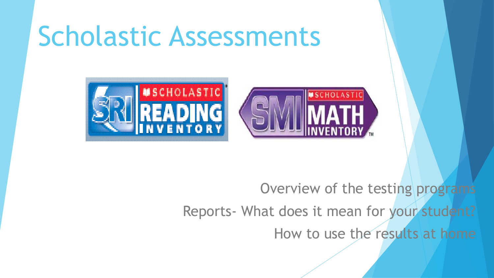# Scholastic Assessments



Overview of the testing programs Reports- What does it mean for your student? How to use the results at home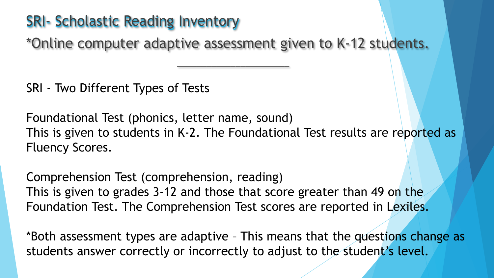#### SRI- Scholastic Reading Inventory

\*Online computer adaptive assessment given to K-12 students.

\_\_\_\_\_\_\_\_\_\_\_\_\_\_\_\_\_\_\_\_\_\_\_

SRI - Two Different Types of Tests

Foundational Test (phonics, letter name, sound) This is given to students in K-2. The Foundational Test results are reported as Fluency Scores.

Comprehension Test (comprehension, reading) This is given to grades 3-12 and those that score greater than 49 on the Foundation Test. The Comprehension Test scores are reported in Lexiles.

\*Both assessment types are adaptive – This means that the questions change as students answer correctly or incorrectly to adjust to the student's level.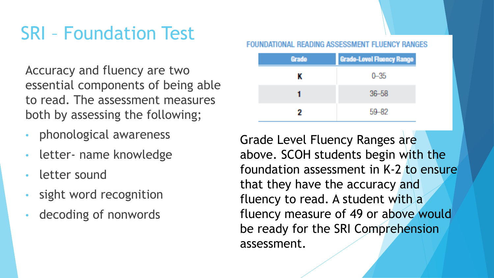## SRI – Foundation Test

Accuracy and fluency are two essential components of being able to read. The assessment measures both by assessing the following;

- phonological awareness
- letter- name knowledge
- letter sound
- sight word recognition
- decoding of nonwords

| Grade | <b>Grade-Level Fluency Range</b> |
|-------|----------------------------------|
| ĸ     | $0 - 35$                         |
|       | $36 - 58$                        |
| 2     | 59-82                            |

Grade Level Fluency Ranges are above. SCOH students begin with the foundation assessment in K-2 to ensure that they have the accuracy and fluency to read. A student with a fluency measure of 49 or above would be ready for the SRI Comprehension assessment.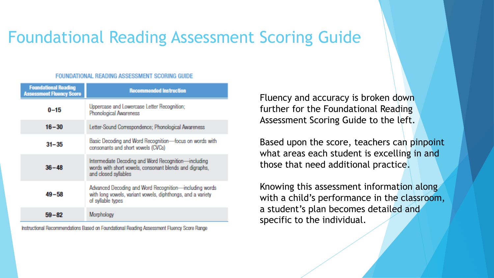### Foundational Reading Assessment Scoring Guide

#### FOUNDATIONAL READING ASSESSMENT SCORING GUIDE

| <b>Foundational Reading</b><br><b>Assessment Fluency Score</b>                                             | <b>Recommended Instruction</b>                                                                                                             |  |
|------------------------------------------------------------------------------------------------------------|--------------------------------------------------------------------------------------------------------------------------------------------|--|
| $0 - 15$                                                                                                   | Uppercase and Lowercase Letter Recognition;<br>Phonological Awareness                                                                      |  |
| $16 - 30$                                                                                                  | Letter-Sound Correspondence; Phonological Awareness                                                                                        |  |
| Basic Decoding and Word Recognition-focus on words with<br>$31 - 35$<br>consonants and short vowels (CVCs) |                                                                                                                                            |  |
| $36 - 48$                                                                                                  | Intermediate Decoding and Word Recognition-including<br>words with short vowels, consonant blends and digraphs,<br>and closed syllables    |  |
| $49 - 58$                                                                                                  | Advanced Decoding and Word Recognition-including words<br>with long vowels, variant vowels, diphthongs, and a variety<br>of syllable types |  |
| $59 - 82$                                                                                                  | Morphology                                                                                                                                 |  |

Instructional Recommendations Based on Foundational Reading Assessment Fluency Score Range

Fluency and accuracy is broken down further for the Foundational Reading Assessment Scoring Guide to the left.

Based upon the score, teachers can pinpoint what areas each student is excelling in and those that need additional practice.

Knowing this assessment information along with a child's performance in the classroom, a student's plan becomes detailed and specific to the individual.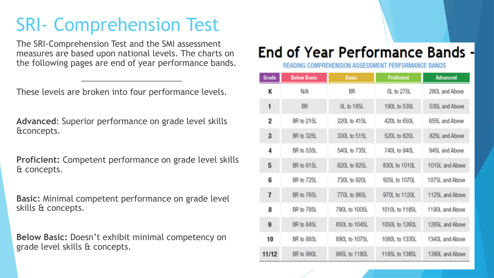## SRI- Comprehension Test

The SRI-Comprehension Test and the SMI assessment measures are based upon national levels. The charts on the following pages are end of year performance bands.

\_\_\_\_\_\_\_\_\_\_\_\_\_\_\_\_\_\_\_\_\_\_

These levels are broken into four performance levels.

**Advanced**: Superior performance on grade level skills &concepts.

**Proficient:** Competent performance on grade level skills & concepts.

**Basic:** Minimal competent performance on grade level skills & concepts.

**Below Basic:** Doesn't exhibit minimal competency on grade level skills & concepts.

#### End of Year Performance Bands -

READING COMPREHENSION ASSESSMENT PERFORMANCE BANDS

| Grade                   | <b>Below Basic</b> | <b>Basic</b>  | Proficient     | Advanced        |  |
|-------------------------|--------------------|---------------|----------------|-----------------|--|
| Κ                       | <b>N/A</b>         | BR            | 0L to 275L     | 280L and Above  |  |
| 1                       | BR                 | OL to 185L    | 190L to 530L   | 535L and Above  |  |
| 2                       | BR to 215L         | 220L to 415L  | 420L to 650L   | 655L and Above  |  |
| $\overline{\mathbf{3}}$ | BR to 325L         | 330L to 515L  | 520L to 820L   | 825L and Above  |  |
| 4                       | BR to 535L         | 540L to 735L  | 740L to 940L   | 945L and Above  |  |
| 5                       | BR to 615L         | 620L to 825L  | 830L to 1010L  | 1015L and Above |  |
| 6                       | BR to 725L         | 730L to 920L  | 925L to 1070L  | 1075L and Above |  |
| $\overline{I}$          | <b>BR</b> to 765L  | 770L to 965L  | 970L to 1120L  | 1125 and Above  |  |
| 8                       | BR to 785L         | 790L to 1005L | 1010L to 1185L | 1190L and Above |  |
| 9                       | BR to 845L         | 850L to 1045L | 1050L to 1260L | 1265L and Above |  |
| 10                      | BR to 885L         | 890L to 1075L | 1080L to 1335L | 1340L and Above |  |
| 11/12                   | BR to 980L         | 985L to 1180L | 1185L to 1385L | 1390L and Above |  |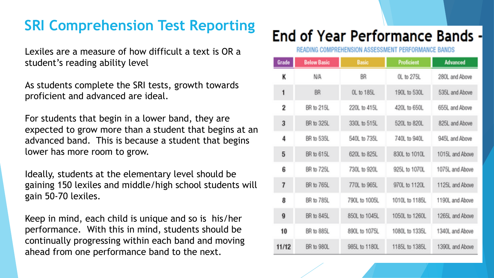#### **SRI Comprehension Test Reporting**

Lexiles are a measure of how difficult a text is OR a student's reading ability level

As students complete the SRI tests, growth towards proficient and advanced are ideal.

For students that begin in a lower band, they are expected to grow more than a student that begins at an advanced band. This is because a student that begins lower has more room to grow.

Ideally, students at the elementary level should be gaining 150 lexiles and middle/high school students will gain 50-70 lexiles.

Keep in mind, each child is unique and so is his/her performance. With this in mind, students should be continually progressing within each band and moving ahead from one performance band to the next.

#### End of Year Performance Bands -

READING COMPREHENSION ASSESSMENT PEREORMANCE RANDS

| Grade                   | <b>Below Basic</b> | <b>Basic</b>  | Proficient     | <b>Advanced</b> |
|-------------------------|--------------------|---------------|----------------|-----------------|
| К                       | N/A                | BR            | OL to 275L     | 280L and Above  |
| 1                       | BR                 | OL to 185L    | 190L to 530L   | 535L and Above  |
| 2                       | BR to 215L         | 220L to 415L  | 420L to 650L   | 655L and Above  |
| $\overline{\mathbf{3}}$ | BR to 325L         | 330L to 515L  | 520L to 820L   | 825L and Above  |
| 4                       | BR to 535L         | 540L to 735L  | 740L to 940L   | 945L and Above  |
| 5                       | BR to 615L         | 620L to 825L  | 830L to 1010L  | 1015L and Above |
| 6                       | BR to 725L         | 730L to 920L  | 925L to 1070L  | 1075L and Above |
| 7                       | BR to 765L         | 770L to 965L  | 970L to 1120L  | 1125L and Above |
| 8                       | BR to 785L         | 790L to 1005L | 1010L to 1185L | 1190L and Above |
| $\mathbf{q}$            | BR to 845L         | 850L to 1045L | 1050L to 1260L | 1265L and Above |
| 10                      | BR to 885L         | 890L to 1075L | 1080L to 1335L | 1340L and Above |
| 11/12                   | BR to 980L         | 985L to 1180L | 1185L to 1385L | 1390L and Above |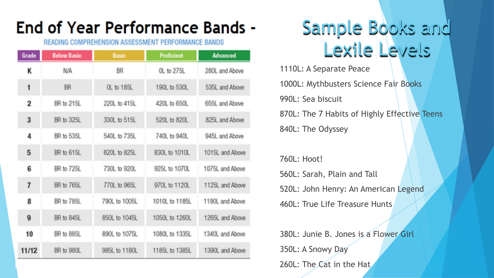### End of Year Performance Bands -

#### READING COMPREHENSION ASSESSMENT PERFORMANCE BANDS

| Grade                                 | <b>Below Basic</b>          | <b>Basic</b>  | Proficient     | Advanced        |  |
|---------------------------------------|-----------------------------|---------------|----------------|-----------------|--|
| К                                     | <b>N/A</b><br><b>BR</b>     |               | OL to 275L     | 280L and Above  |  |
| 1                                     | <b>BR</b>                   | OL to 185L    | 190L to 530L   | 535L and Above  |  |
| 2                                     | BR to 215L                  | 220L to 415L  | 420L to 650L   | 655L and Above  |  |
| $\overline{3}$                        | BR to 325L                  | 330L to 515L  | 520L to 820L   | 825L and Above  |  |
| $\overline{\mathbf{a}}$<br>BR to 535L |                             | 540L to 735L  | 740L to 940L   | 945L and Above  |  |
| 5                                     | BR to 615L                  | 620L to 825L  | 830L to 1010L  | 1015L and Above |  |
| 6<br>BR to 725L                       |                             | 730L to 920L  | 925L to 1070L  | 1075L and Above |  |
| 7                                     | BR to 765L<br>770L to 965L  |               | 970L to 1120L  | 1125L and Above |  |
| 8                                     | BR to 785L<br>790L to 1005L |               | 1010L to 1185L | 1190L and Above |  |
| 9                                     | BR to 845L                  | 850L to 1045L | 1050L to 1260L | 1265L and Above |  |
| 10                                    | BR to 885L<br>890L to 1075L |               | 1080L to 1335L | 1340L and Above |  |
| 11/12<br>BR to 980L                   |                             | 985L to 1180L | 1185L to 1385L | 1390L and Above |  |

## Sample Books and Lexile Levels

1110L: A Separate Peace 1000L: Mythbusters Science Fair Books 990L: Sea biscuit 870L: The 7 Habits of Highly Effective Teens 840L: The Odyssey

760L: Hoot!

560L: Sarah, Plain and Tall 520L: John Henry: An American Legend 460L: True Life Treasure Hunts

380L: Junie B. Jones is a Flower Girl 350L: A Snowy Day 260L: The Cat in the Hat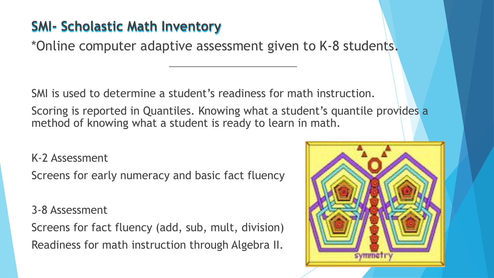#### **SMI- Scholastic Math Inventory**

\*Online computer adaptive assessment given to K-8 students.

SMI is used to determine a student's readiness for math instruction.

Scoring is reported in Quantiles. Knowing what a student's quantile provides a method of knowing what a student is ready to learn in math.

\_\_\_\_\_\_\_\_\_\_\_\_\_\_\_\_\_\_\_\_\_\_\_\_\_\_\_\_

K-2 Assessment

Screens for early numeracy and basic fact fluency

3-8 Assessment

Screens for fact fluency (add, sub, mult, division) Readiness for math instruction through Algebra II.

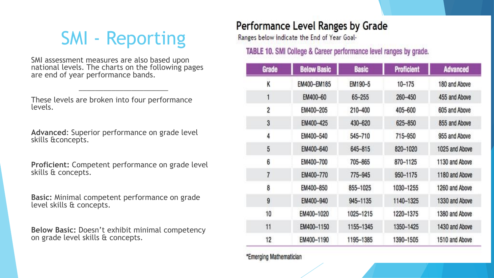## SMI - Reporting

SMI assessment measures are also based upon national levels. The charts on the following pages are end of year performance bands.

\_\_\_\_\_\_\_\_\_\_\_\_\_\_\_\_\_\_\_\_\_\_

These levels are broken into four performance levels.

**Advanced**: Superior performance on grade level skills &concepts.

**Proficient:** Competent performance on grade level skills & concepts.

**Basic:** Minimal competent performance on grade level skills & concepts.

**Below Basic:** Doesn't exhibit minimal competency on grade level skills & concepts.

#### Performance Level Ranges by Grade

Ranges below indicate the End of Year Goal-

**TABLE 10.** SMI College & Career performance level ranges by grade.

| Grade          | <b>Below Basic</b> | <b>Basic</b> | <b>Proficient</b> | <b>Advanced</b> |
|----------------|--------------------|--------------|-------------------|-----------------|
| K              | EM400-EM185        | EM190-5      | $10 - 175$        | 180 and Above   |
| 1              | EM400-60           | 65-255       | 260-450           | 455 and Above   |
| $\overline{c}$ | EM400-205          | 210-400      | 405-600           | 605 and Above   |
| 3              | EM400-425          | 430-620      | 625-850           | 855 and Above   |
| 4              | EM400-540          | 545-710      | 715-950           | 955 and Above   |
| 5              | EM400-640          | 645-815      | 820-1020          | 1025 and Above  |
| 6              | EM400-700          | 705-865      | 870-1125          | 1130 and Above  |
| $\overline{7}$ | EM400-770          | 775-945      | 950-1175          | 1180 and Above  |
| 8              | EM400-850          | 855-1025     | 1030-1255         | 1260 and Above  |
| 9              | EM400-940          | 945-1135     | 1140-1325         | 1330 and Above  |
| 10             | EM400-1020         | 1025-1215    | 1220-1375         | 1380 and Above  |
| 11             | EM400-1150         | 1155-1345    | 1350-1425         | 1430 and Above  |
| 12             | EM400-1190         | 1195-1385    | 1390-1505         | 1510 and Above  |

\*Emerging Mathematician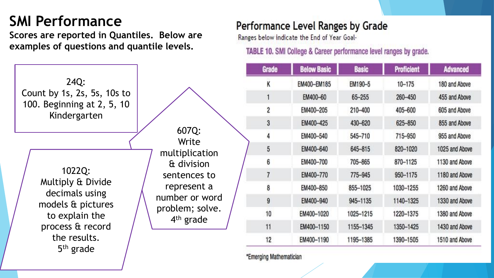#### **SMI Performance**

**Scores are reported in Quantiles. Below are examples of questions and quantile levels.** 

|                                            |                                          | Grade | <b>Bel</b>      |
|--------------------------------------------|------------------------------------------|-------|-----------------|
| 24Q:                                       |                                          |       | EM4             |
| Count by 1s, 2s, 5s, 10s to                |                                          |       | EN              |
| 100. Beginning at 2, 5, 10<br>Kindergarten |                                          |       | EM              |
|                                            |                                          | 3     | EM              |
|                                            | 607Q:<br>Write                           |       | EM              |
|                                            | multiplication                           |       | EM              |
|                                            | & division                               |       | EM              |
| 1022Q:                                     | sentences to                             |       | EM              |
| Multiply & Divide<br>decimals using        | represent a                              |       | EM              |
| models & pictures                          | number or word                           | 9     | EM              |
| to explain the                             | problem; solve.<br>4 <sup>th</sup> grade | 10    | EM4             |
| process & record                           |                                          | 11    | EM <sub>®</sub> |
| the results.                               |                                          | 12    | <b>EM</b>       |
| $5th$ grade                                |                                          |       |                 |

#### Performance Level Ranges by Grade

Ranges below indicate the End of Year Goal-

TABLE 10. SMI College & Career performance level ranges by grade.

| Grade                   | <b>Below Basic</b> | <b>Basic</b> | <b>Proficient</b> | <b>Advanced</b> |
|-------------------------|--------------------|--------------|-------------------|-----------------|
| K                       | EM400-EM185        | EM190-5      | $10 - 175$        | 180 and Above   |
| 1                       | EM400-60           | 65-255       | 260-450           | 455 and Above   |
| $\overline{\mathbf{c}}$ | EM400-205          | 210-400      | 405-600           | 605 and Above   |
| 3                       | EM400-425          | 430-620      | 625-850           | 855 and Above   |
| 4                       | EM400-540          | 545-710      | 715-950           | 955 and Above   |
| 5                       | EM400-640          | 645-815      | 820-1020          | 1025 and Above  |
| 6                       | EM400-700          | 705-865      | 870-1125          | 1130 and Above  |
| 7                       | EM400-770          | 775-945      | 950-1175          | 1180 and Above  |
| 8                       | EM400-850          | 855-1025     | 1030-1255         | 1260 and Above  |
| 9                       | EM400-940          | 945-1135     | 1140-1325         | 1330 and Above  |
| 10                      | EM400-1020         | 1025-1215    | 1220-1375         | 1380 and Above  |
| 11                      | EM400-1150         | 1155-1345    | 1350-1425         | 1430 and Above  |
| 12                      | EM400-1190         | 1195-1385    | 1390-1505         | 1510 and Above  |

"Emerging Mathematician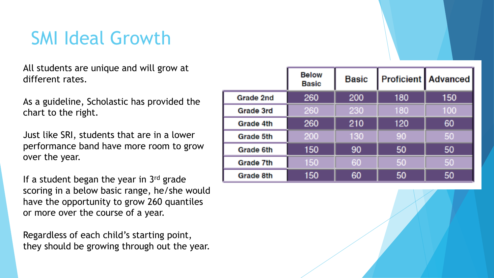## SMI Ideal Growth

All students are unique and will grow at different rates.

As a guideline, Scholastic has provided the chart to the right.

Just like SRI, students that are in a lower performance band have more room to grow over the year.

If a student began the year in  $3<sup>rd</sup>$  grade scoring in a below basic range, he/she would have the opportunity to grow 260 quantiles or more over the course of a year.

Regardless of each child's starting point, they should be growing through out the year.

|           | <b>Below</b><br><b>Basic</b> | <b>Basic</b> |     | <b>Proficient Advanced</b> |
|-----------|------------------------------|--------------|-----|----------------------------|
| Grade 2nd | 260                          | 200          | 180 | 150                        |
| Grade 3rd | 260                          | 230          | 180 | 100                        |
| Grade 4th | 260                          | 210          | 120 | 60                         |
| Grade 5th | 200                          | 130          | 90  | 50                         |
| Grade 6th | 150                          | 90           | 50  | 50                         |
| Grade 7th | 150                          | 60           | 50  | 50                         |
| Grade 8th | 150                          | 60           | 50  | 50                         |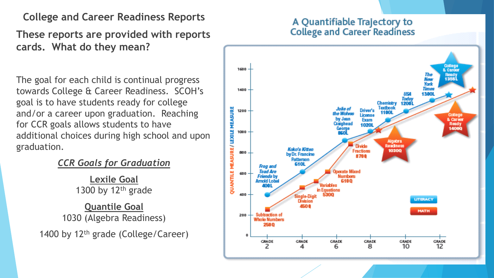**College and Career Readiness Reports**

**These reports are provided with reports cards. What do they mean?** 

The goal for each child is continual progress towards College & Career Readiness. SCOH's goal is to have students ready for college and/or a career upon graduation. Reaching for CCR goals allows students to have additional choices during high school and upon graduation.

*CCR Goals for Graduation*

**Lexile Goal** 1300 by  $12<sup>th</sup>$  grade

**Quantile Goal** 1030 (Algebra Readiness)

1400 by  $12<sup>th</sup>$  grade (College/Career)

#### A Quantifiable Trajectory to **College and Career Readiness**

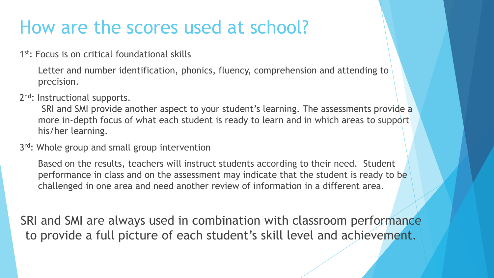## How are the scores used at school?

1<sup>st</sup>: Focus is on critical foundational skills

Letter and number identification, phonics, fluency, comprehension and attending to precision.

2<sup>nd</sup>: Instructional supports.

SRI and SMI provide another aspect to your student's learning. The assessments provide a more in-depth focus of what each student is ready to learn and in which areas to support his/her learning.

3<sup>rd</sup>: Whole group and small group intervention

Based on the results, teachers will instruct students according to their need. Student performance in class and on the assessment may indicate that the student is ready to be challenged in one area and need another review of information in a different area.

SRI and SMI are always used in combination with classroom performance to provide a full picture of each student's skill level and achievement.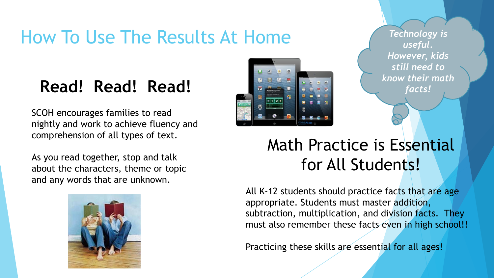## How To Use The Results At Home

### **Read! Read! Read!**

SCOH encourages families to read nightly and work to achieve fluency and comprehension of all types of text.

As you read together, stop and talk about the characters, theme or topic and any words that are unknown.





*Technology is useful. However, kids still need to know their math facts!* 

### Math Practice is Essential for All Students!

All K-12 students should practice facts that are age appropriate. Students must master addition, subtraction, multiplication, and division facts. They must also remember these facts even in high school!!

Practicing these skills are essential for all ages!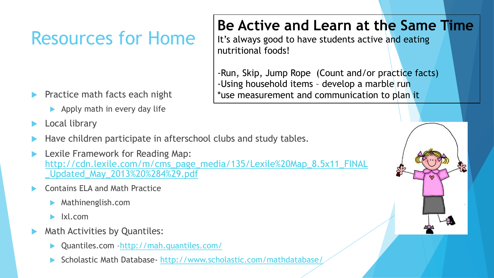## Resources for Home

- Practice math facts each night
	- $\blacktriangleright$  Apply math in every day life
- Local library
- Have children participate in afterschool clubs and study tables.
- Lexile Framework for Reading Map: [http://cdn.lexile.com/m/cms\\_page\\_media/135/Lexile%20Map\\_8.5x11\\_FINAL](http://cdn.lexile.com/m/cms_page_media/135/Lexile Map_8.5x11_FINAL_Updated_May_2013 %284%29.pdf) \_Updated\_May\_2013%20%284%29.pdf
- Contains ELA and Math Practice
	- Mathinenglish.com
	- Ixl.com
- Math Activities by Quantiles:
	- Quantiles.com –<http://mah.quantiles.com/>
	- Scholastic Math Database- <http://www.scholastic.com/mathdatabase/>

#### **Be Active and Learn at the Same Time**

It's always good to have students active and eating nutritional foods!

-Run, Skip, Jump Rope (Count and/or practice facts) -Using household items - develop a marble run \*use measurement and communication to plan it